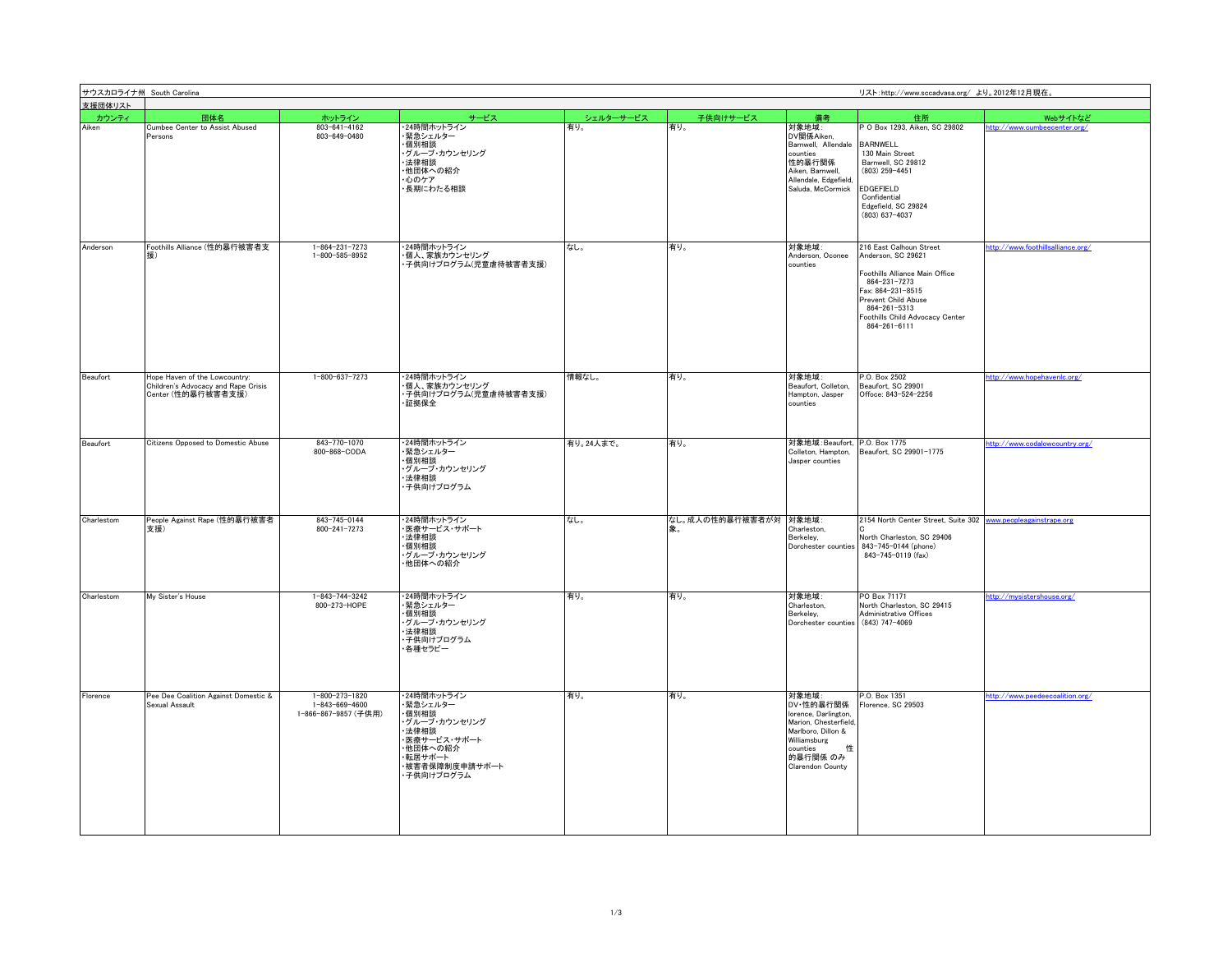| 支援団体リスト    | サウスカロライナ州 South Carolina<br>リスト:http://www.sccadvasa.org/ より。2012年12月現在。                   |                                                                  |                                                                                                                              |           |                       |                                                                                                                                                          |                                                                                                                                                                                                                |                                   |
|------------|--------------------------------------------------------------------------------------------|------------------------------------------------------------------|------------------------------------------------------------------------------------------------------------------------------|-----------|-----------------------|----------------------------------------------------------------------------------------------------------------------------------------------------------|----------------------------------------------------------------------------------------------------------------------------------------------------------------------------------------------------------------|-----------------------------------|
| カウンティ      | 団体名                                                                                        | ホットライン                                                           | サービス                                                                                                                         | シェルターサービス | 子供向けサービス              | 備考                                                                                                                                                       | 住所                                                                                                                                                                                                             | Webサイトなど                          |
| Aiken      | Cumbee Center to Assist Abused<br>Persons                                                  | $803 - 641 - 4162$<br>803-649-0480                               | 24時間ホットライン<br>緊急シェルター<br>個別相談<br>- グループ・カウンセリング<br>・法律相談<br>他団体への紹介<br>・心のケア<br>長期にわたる相談                                     | 有り。       | 有り。                   | 対象地域:<br>DV関係Aiken,<br>Barnwell, Allendale<br>counties<br>性的暴行関係<br>Aiken, Barnwell,<br>Allendale, Edgefield<br>Saluda, McCormick                        | P O Box 1293, Aiken, SC 29802<br><b>BARNWELL</b><br>130 Main Street<br>Barnwell, SC 29812<br>$(803)$ 259-4451<br>EDGEFIELD<br>Confidential<br>Edgefield, SC 29824<br>$(803)$ 637-4037                          | ttp://www.cumbeecenter.org/       |
| Anderson   | Foothills Alliance (性的暴行被害者支<br>摆)                                                         | 1-864-231-7273<br>1-800-585-8952                                 | 24時間ホットライン<br>・個人、家族カウンセリング<br>・子供向けプログラム(児童虐待被害者支援)                                                                         | なし。       | 有り。                   | 対象地域:<br>Anderson, Oconee<br>counties                                                                                                                    | 216 East Calhoun Street<br>Anderson, SC 29621<br>Foothills Alliance Main Office<br>864-231-7273<br>Fax: 864-231-8515<br>Prevent Child Abuse<br>864-261-5313<br>Foothills Child Advocacy Center<br>864-261-6111 | http://www.foothillsalliance.org/ |
| Beaufort   | Hope Haven of the Lowcountry:<br>Children's Advocacy and Rape Crisis<br>Center (性的暴行被害者支援) | 1-800-637-7273                                                   | ・24時間ホットライン<br>・個人、家族カウンセリング<br>・子供向けプログラム(児童虐待被害者支援)<br>·証拠保全                                                               | 情報なし。     | 有り。                   | 対象地域:<br>Beaufort, Colleton,<br>Hampton, Jasper<br>counties                                                                                              | P.O. Box 2502<br>Beaufort, SC 29901<br>Offoce: 843-524-2256                                                                                                                                                    | http://www.hopehavenlc.org/       |
| Beaufort   | Citizens Opposed to Domestic Abuse                                                         | 843-770-1070<br>800-868-CODA                                     | ・24時間ホットライン<br>・緊急シェルター<br>·個別相談<br>・グループ・カウンセリング<br>法律相談<br>子供向けプログラム                                                       | 有り。24人まで。 | 有り。                   | 対象地域: Beaufort, P.O. Box 1775<br>Colleton, Hampton,<br>Jasper counties                                                                                   | Beaufort, SC 29901-1775                                                                                                                                                                                        | http://www.codalowcountry.org/    |
| Charlestom | People Against Rape (性的暴行被害者<br>支援)                                                        | 843-745-0144<br>800-241-7273                                     | 24時間ホットライン<br>・医療サービス・サポート<br>法律相談<br>·個別相談<br>ヴループ・カウンセリング<br>・他団体への紹介                                                      | なし。       | なし。成人の性的暴行被害者が対 対象地域: | Charleston,<br>Berkeley,<br>Dorchester counties                                                                                                          | 2154 North Center Street, Suite 302<br>North Charleston, SC 29406<br>843-745-0144 (phone)<br>843-745-0119 (fax)                                                                                                | www.peopleagainstrape.org         |
| Charlestom | My Sister's House                                                                          | 1-843-744-3242<br>800-273-HOPE                                   | ・24時間ホットライン<br>・緊急シェルター<br>·個別相談<br>ヴループ・カウンセリング<br>法律相談<br>子供向けプログラム<br>・各種セラピー                                             | 有り。       | 有り。                   | 対象地域:<br>Charleston.<br>Berkeley,<br>Dorchester counties                                                                                                 | PO Box 71171<br>North Charleston, SC 29415<br>Administrative Offices<br>$(843)$ 747-4069                                                                                                                       | http://mysistershouse.org/        |
| Florence   | Pee Dee Coalition Against Domestic &<br>Sexual Assault                                     | 1-800-273-1820<br>$1 - 843 - 669 - 4600$<br>1-866-867-9857 (子供用) | ・24時間ホットライン<br>・緊急シェルター<br>個別相談<br>ヴループ・カウンセリング<br>法律相談<br>医療サービス・サポート<br>・他団体への紹介<br>・転居サポート<br>被害者保障制度申請サポート<br>・子供向けプログラム | 有り。       | 有り。                   | 対象地域:<br>DV·性的暴行関係<br>Iorence, Darlington<br>Marion, Chesterfield<br>Marlboro, Dillon &<br>Williamsburg<br>性<br>counties<br>的暴行関係 のみ<br>Clarendon County | P.O. Box 1351<br>Florence, SC 29503                                                                                                                                                                            | http://www.peedeecoalition.org/   |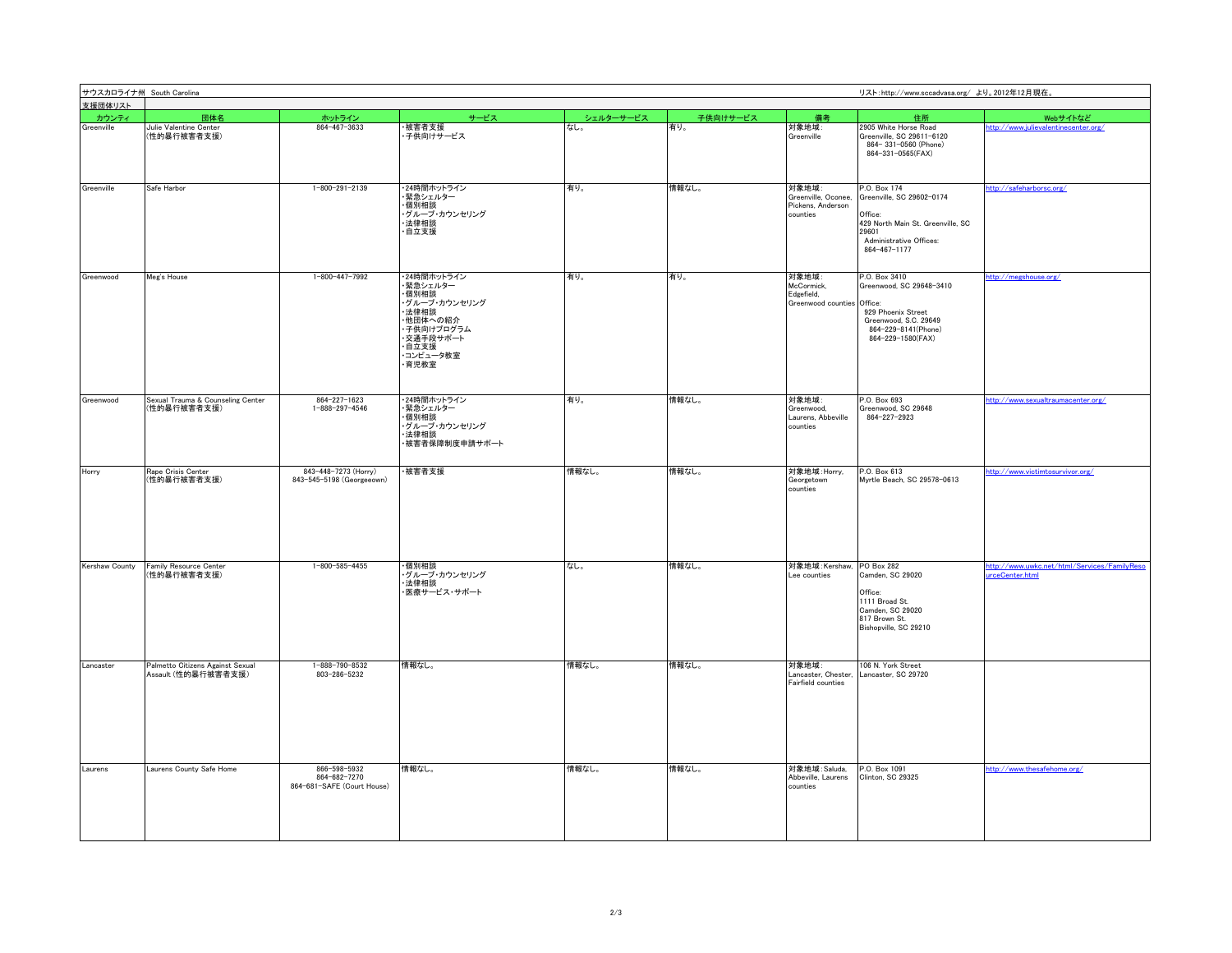| 支援団体リスト        | サウスカロライナ州 South Carolina<br>リスト:http://www.sccadvasa.org/ より。2012年12月現在 |                                                            |                                                                                                                                 |           |          |                                                               |                                                                                                                                                     |                                                                |
|----------------|-------------------------------------------------------------------------|------------------------------------------------------------|---------------------------------------------------------------------------------------------------------------------------------|-----------|----------|---------------------------------------------------------------|-----------------------------------------------------------------------------------------------------------------------------------------------------|----------------------------------------------------------------|
|                |                                                                         |                                                            |                                                                                                                                 |           |          |                                                               |                                                                                                                                                     |                                                                |
| カウンティ          | 団体名                                                                     | ホットライン                                                     | サービス                                                                                                                            | シェルターサービス | 子供向けサービス | 備ま                                                            | 住所                                                                                                                                                  | Webサイトなど                                                       |
| Greenville     | Julie Valentine Center<br>(性的暴行被害者支援)                                   | 864-467-3633                                               | 被害者支援<br>子供向けサービス                                                                                                               | なし。       | 有り。      | 対象地域:<br>Greenville                                           | 2905 White Horse Road<br>Greenville, SC 29611-6120<br>864-331-0560 (Phone)<br>864-331-0565(FAX)                                                     | http://www.julievalentinecenter.org/                           |
| Greenville     | Safe Harbor                                                             | $1 - 800 - 291 - 2139$                                     | 24時間ホットライン<br>緊急シェルター<br>個別相談<br>・グループ・カウンセリング<br>・法律相談<br>·自立支援                                                                | 有り。       | 情報なし。    | 対象地域:<br>Greenville, Oconee,<br>Pickens, Anderson<br>counties | P.O. Box 174<br>Greenville, SC 29602-0174<br>Office:<br>429 North Main St. Greenville, SC<br>29601<br>Administrative Offices:<br>$864 - 467 - 1177$ | ttp://safeharborsc.org/                                        |
| Greenwood      | Meg's House                                                             | 1-800-447-7992                                             | ・24時間ホットライン<br>・緊急シェルター<br>·個別相談<br>・グループ・カウンセリング<br>·法律相談<br>・他団体への紹介<br>子供向けプログラム<br>・交通手段サポート<br>・自立支援<br>・コンピュータ教室<br>·育児教室 | 有り。       | 有り。      | 対象地域:<br>McCormick.<br>Edgefield,<br>Greenwood counties       | P.O. Box 3410<br>Greenwood, SC 29648-3410<br>Office:<br>929 Phoenix Street<br>Greenwood, S.C. 29649<br>864-229-8141(Phone)<br>864-229-1580(FAX)     | ttp://megshouse.org/                                           |
| Greenwood      | Sexual Trauma & Counseling Center<br>(性的暴行被害者支援)                        | 864-227-1623<br>$1 - 888 - 297 - 4546$                     | ・24時間ホットライン<br>・緊急シェルター<br>·個別相談<br>・グループ・カウンセリング<br>法律相談<br>・被害者保障制度申請サポート                                                     | 有り。       | 情報なし。    | 対象地域:<br>Greenwood.<br>Laurens, Abbeville<br>counties         | P.O. Box 693<br>Greenwood, SC 29648<br>864-227-2923                                                                                                 | http://www.sexualtraumacenter.org/                             |
| Horry          | Rape Crisis Center<br>(性的暴行被害者支援)                                       | 843-448-7273 (Horry)<br>843-545-5198 (Georgeeown)          | 被害者支援                                                                                                                           | 情報なし。     | 情報なし。    | 対象地域:Horry,<br>Georgetown<br>counties                         | P.O. Box 613<br>Myrtle Beach, SC 29578-0613                                                                                                         | /ttp://www.victimtosurvivor.org/                               |
| Kershaw County | Family Resource Center<br>(性的暴行被害者支援)                                   | $1 - 800 - 585 - 4455$                                     | ·個別相談<br>・グループ・カウンセリング<br>・法律相談<br>医療サービス・サポート                                                                                  | なし。       | 情報なし。    | 対象地域:Kershaw,<br>ee counties                                  | PO Box 282<br>Camden, SC 29020<br>Office:<br>1111 Broad St.<br>Camden, SC 29020<br>817 Brown St.<br>Bishopville, SC 29210                           | http://www.uwkc.net/html/Services/FamilyReso<br>rceCenter.html |
| Lancaster      | Palmetto Citizens Against Sexual<br>Assault (性的暴行被害者支援)                 | 1-888-790-8532<br>803-286-5232                             | 情報なし。                                                                                                                           | 情報なし。     | 情報なし。    | 対象地域:<br>Lancaster, Chester<br>Fairfield counties             | 106 N. York Street<br>ancaster, SC 29720                                                                                                            |                                                                |
| Laurens        | Laurens County Safe Home                                                | 866-598-5932<br>864-682-7270<br>864-681-SAFE (Court House) | 情報なし。                                                                                                                           | 情報なし。     | 情報なし。    | 対象地域:Saluda.<br>Abbeville, Laurens<br>counties                | P.O. Box 1091<br>Clinton, SC 29325                                                                                                                  | http://www.thesafehome.org/                                    |